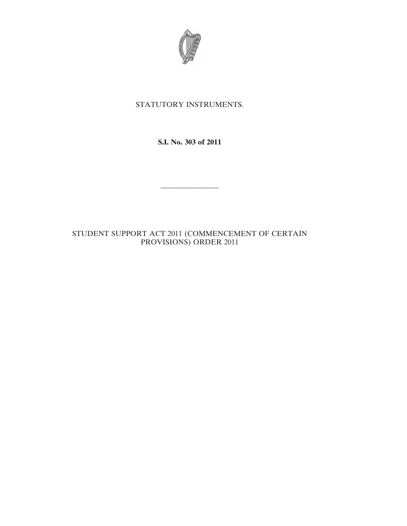

## STATUTORY INSTRUMENTS.

**S.I. No. 303 of 2011**

————————

STUDENT SUPPORT ACT 2011 (COMMENCEMENT OF CERTAIN PROVISIONS) ORDER 2011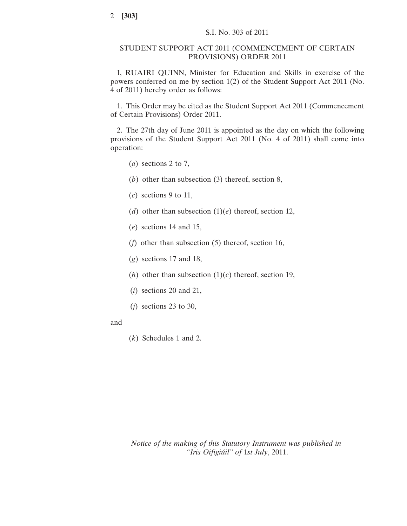## STUDENT SUPPORT ACT 2011 (COMMENCEMENT OF CERTAIN PROVISIONS) ORDER 2011

I, RUAIRI QUINN, Minister for Education and Skills in exercise of the powers conferred on me by section 1(2) of the Student Support Act 2011 (No. 4 of 2011) hereby order as follows:

1. This Order may be cited as the Student Support Act 2011 (Commencement of Certain Provisions) Order 2011.

2. The 27th day of June 2011 is appointed as the day on which the following provisions of the Student Support Act 2011 (No. 4 of 2011) shall come into operation:

- (*a*) sections 2 to 7,
- (*b*) other than subsection (3) thereof, section 8,
- (*c*) sections 9 to 11,
- (*d*) other than subsection (1)(*e*) thereof, section 12,
- (*e*) sections 14 and 15,
- (*f*) other than subsection (5) thereof, section 16,
- (*g*) sections 17 and 18,
- (*h*) other than subsection  $(1)(c)$  thereof, section 19,
- (*i*) sections 20 and 21,
- (*j*) sections 23 to 30,
- and
- (*k*) Schedules 1 and 2.

*Notice of the making of this Statutory Instrument was published in "Iris Oifigiúil" of* 1*st July*, 2011.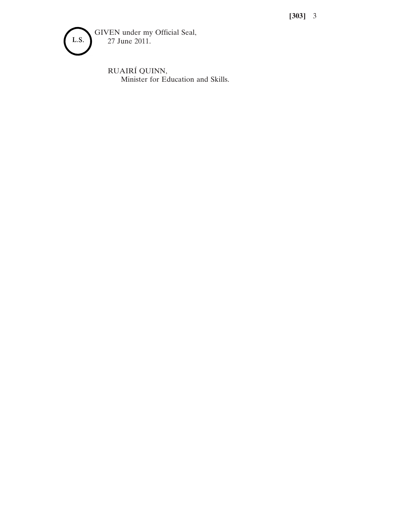**[303]** 3



RUAIRÍ QUINN, Minister for Education and Skills.